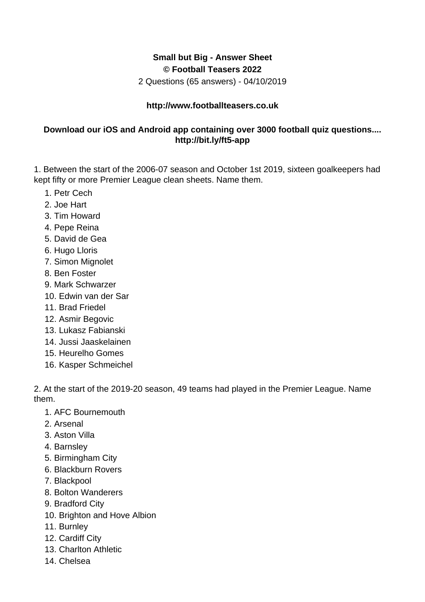## **Small but Big - Answer Sheet © Football Teasers 2022**

2 Questions (65 answers) - 04/10/2019

## **http://www.footballteasers.co.uk**

## **Download our iOS and Android app containing over 3000 football quiz questions.... http://bit.ly/ft5-app**

1. Between the start of the 2006-07 season and October 1st 2019, sixteen goalkeepers had kept fifty or more Premier League clean sheets. Name them.

- 1. Petr Cech
- 2. Joe Hart
- 3. Tim Howard
- 4. Pepe Reina
- 5. David de Gea
- 6. Hugo Lloris
- 7. Simon Mignolet
- 8. Ben Foster
- 9. Mark Schwarzer
- 10. Edwin van der Sar
- 11. Brad Friedel
- 12. Asmir Begovic
- 13. Lukasz Fabianski
- 14. Jussi Jaaskelainen
- 15. Heurelho Gomes
- 16. Kasper Schmeichel

2. At the start of the 2019-20 season, 49 teams had played in the Premier League. Name them.

- 1. AFC Bournemouth
- 2. Arsenal
- 3. Aston Villa
- 4. Barnsley
- 5. Birmingham City
- 6. Blackburn Rovers
- 7. Blackpool
- 8. Bolton Wanderers
- 9. Bradford City
- 10. Brighton and Hove Albion
- 11. Burnley
- 12. Cardiff City
- 13. Charlton Athletic
- 14. Chelsea